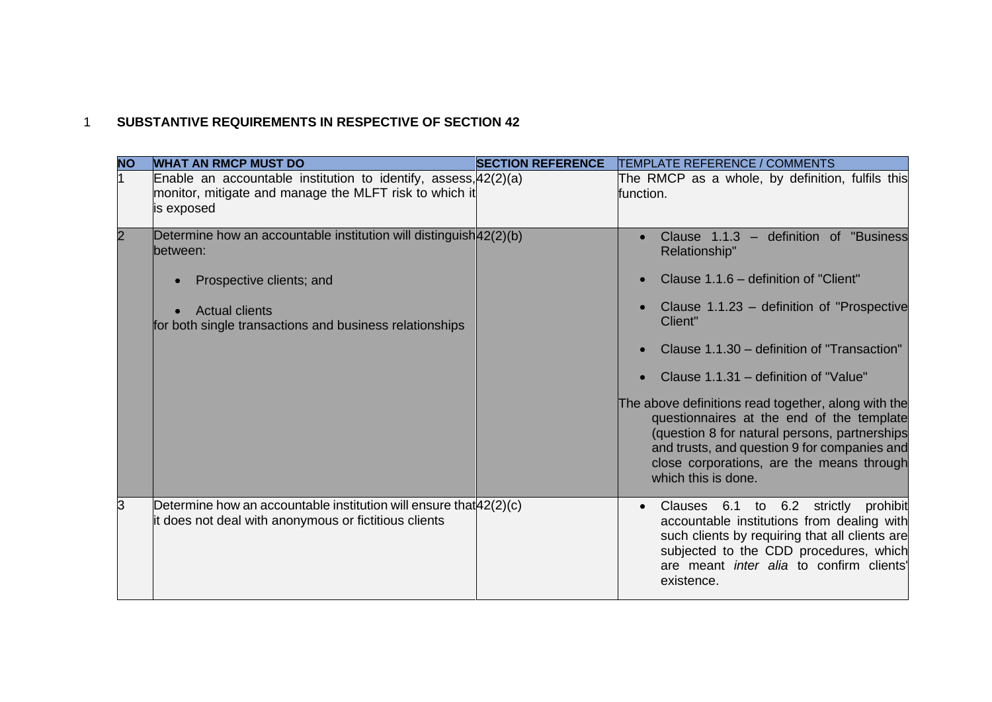## 1 **SUBSTANTIVE REQUIREMENTS IN RESPECTIVE OF SECTION 42**

| <b>NO</b> | <b>WHAT AN RMCP MUST DO</b>                                                                                                                                                                      | <b>SECTION REFERENCE</b> | <b>TEMPLATE REFERENCE / COMMENTS</b>                                                                                                                                                                                                                                                                                                                                                                                                                                                                                         |
|-----------|--------------------------------------------------------------------------------------------------------------------------------------------------------------------------------------------------|--------------------------|------------------------------------------------------------------------------------------------------------------------------------------------------------------------------------------------------------------------------------------------------------------------------------------------------------------------------------------------------------------------------------------------------------------------------------------------------------------------------------------------------------------------------|
|           | Enable an accountable institution to identify, assess, 42(2)(a)<br>monitor, mitigate and manage the MLFT risk to which it<br>is exposed                                                          |                          | The RMCP as a whole, by definition, fulfils this<br>function.                                                                                                                                                                                                                                                                                                                                                                                                                                                                |
|           | Determine how an accountable institution will distinguish $42(2)(b)$<br>between:<br>Prospective clients; and<br><b>Actual clients</b><br>for both single transactions and business relationships |                          | Clause 1.1.3 - definition of "Business"<br>Relationship"<br>Clause 1.1.6 – definition of "Client"<br>Clause 1.1.23 – definition of "Prospective"<br>Client"<br>Clause 1.1.30 – definition of "Transaction"<br>Clause 1.1.31 – definition of "Value"<br>The above definitions read together, along with the<br>questionnaires at the end of the template<br>(question 8 for natural persons, partnerships<br>and trusts, and question 9 for companies and<br>close corporations, are the means through<br>which this is done. |
| IЗ        | Determine how an accountable institution will ensure that $42(2)(c)$<br>it does not deal with anonymous or fictitious clients                                                                    |                          | Clauses 6.1 to 6.2 strictly prohibit<br>$\bullet$<br>accountable institutions from dealing with<br>such clients by requiring that all clients are<br>subjected to the CDD procedures, which<br>are meant inter alia to confirm clients'<br>existence.                                                                                                                                                                                                                                                                        |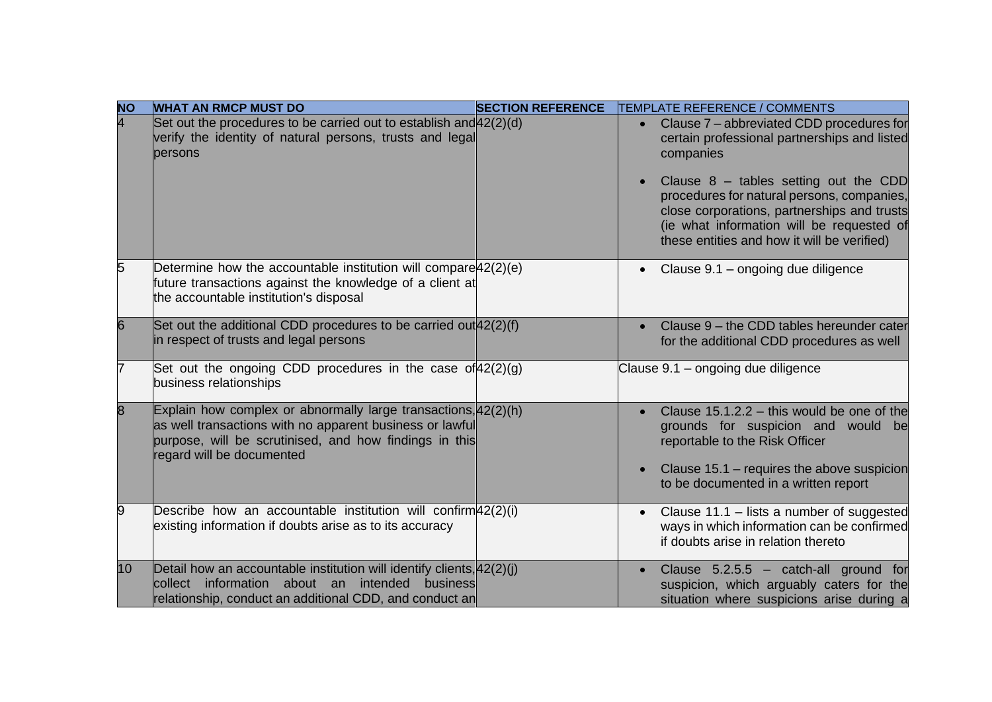| <b>NO</b>      | <b>WHAT AN RMCP MUST DO</b>                                                                                                                                                                                          | <b>SECTION REFERENCE</b> | TEMPLATE REFERENCE / COMMENTS                                                                                                                                                                                                                                                                                                                                        |
|----------------|----------------------------------------------------------------------------------------------------------------------------------------------------------------------------------------------------------------------|--------------------------|----------------------------------------------------------------------------------------------------------------------------------------------------------------------------------------------------------------------------------------------------------------------------------------------------------------------------------------------------------------------|
| $\overline{4}$ | Set out the procedures to be carried out to establish and $42(2)(d)$<br>verify the identity of natural persons, trusts and legal<br>persons                                                                          |                          | Clause 7 – abbreviated CDD procedures for<br>$\bullet$<br>certain professional partnerships and listed<br>companies<br>Clause $8$ – tables setting out the CDD<br>$\bullet$<br>procedures for natural persons, companies,<br>close corporations, partnerships and trusts<br>(ie what information will be requested of<br>these entities and how it will be verified) |
| 5              | Determine how the accountable institution will compare $42(2)(e)$<br>future transactions against the knowledge of a client at<br>the accountable institution's disposal                                              |                          | Clause 9.1 - ongoing due diligence<br>$\bullet$                                                                                                                                                                                                                                                                                                                      |
| 6              | Set out the additional CDD procedures to be carried out $42(2)(f)$<br>in respect of trusts and legal persons                                                                                                         |                          | Clause 9 - the CDD tables hereunder cater<br>$\bullet$<br>for the additional CDD procedures as well                                                                                                                                                                                                                                                                  |
| 7              | Set out the ongoing CDD procedures in the case of $42(2)(q)$<br>business relationships                                                                                                                               |                          | Clause 9.1 - ongoing due diligence                                                                                                                                                                                                                                                                                                                                   |
| 8              | Explain how complex or abnormally large transactions, $42(2)$ (h)<br>as well transactions with no apparent business or lawful<br>purpose, will be scrutinised, and how findings in this<br>regard will be documented |                          | Clause $15.1.2.2 -$ this would be one of the<br>$\bullet$<br>grounds for suspicion and would be<br>reportable to the Risk Officer<br>Clause 15.1 - requires the above suspicion<br>$\bullet$<br>to be documented in a written report                                                                                                                                 |
| 9              | Describe how an accountable institution will confirm $42(2)(i)$<br>existing information if doubts arise as to its accuracy                                                                                           |                          | Clause $11.1$ – lists a number of suggested<br>$\bullet$<br>ways in which information can be confirmed<br>if doubts arise in relation thereto                                                                                                                                                                                                                        |
| 10             | Detail how an accountable institution will identify clients, $ 42(2)(i) $<br>collect information about an<br>intended business<br>relationship, conduct an additional CDD, and conduct an                            |                          | Clause $5.2.5.5 - \text{catch-all ground}$ for<br>$\bullet$<br>suspicion, which arguably caters for the<br>situation where suspicions arise during a                                                                                                                                                                                                                 |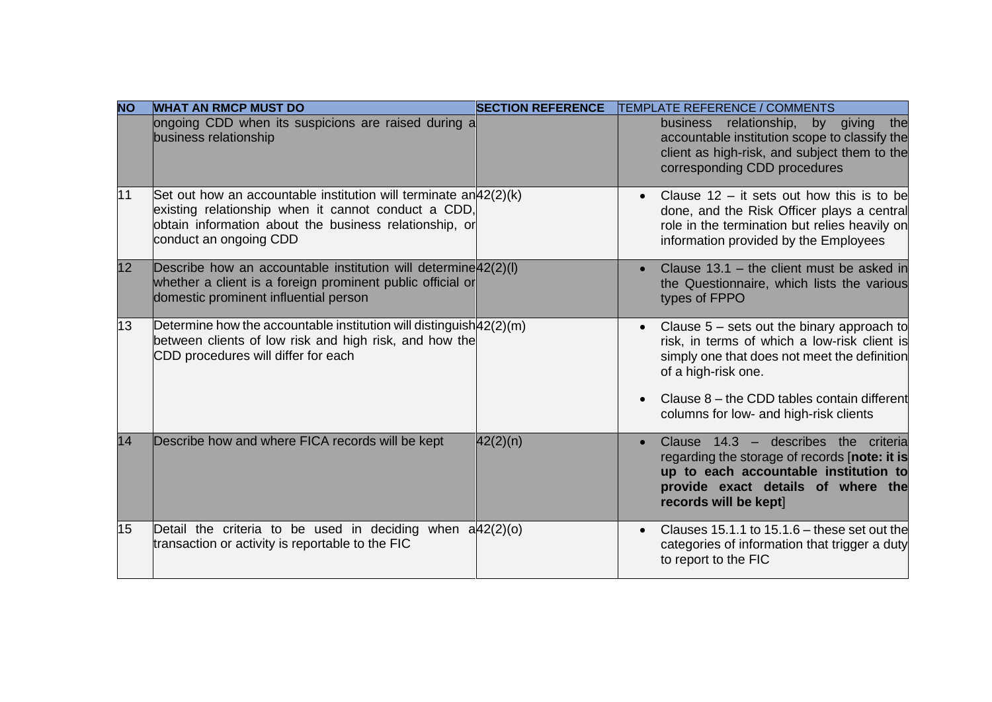| <b>NO</b> | <b>WHAT AN RMCP MUST DO</b>                                                                                                                                                                                     | <b>SECTION REFERENCE</b> | <b>TEMPLATE REFERENCE / COMMENTS</b>                                                                                                                                                                       |
|-----------|-----------------------------------------------------------------------------------------------------------------------------------------------------------------------------------------------------------------|--------------------------|------------------------------------------------------------------------------------------------------------------------------------------------------------------------------------------------------------|
|           | ongoing CDD when its suspicions are raised during a<br>business relationship                                                                                                                                    |                          | by giving<br>business relationship,<br>the<br>accountable institution scope to classify the<br>client as high-risk, and subject them to the<br>corresponding CDD procedures                                |
| 11        | Set out how an accountable institution will terminate $an 42(2)(k) $<br>existing relationship when it cannot conduct a CDD,<br>obtain information about the business relationship, or<br>conduct an ongoing CDD |                          | Clause $12 - it$ sets out how this is to be<br>$\bullet$<br>done, and the Risk Officer plays a central<br>role in the termination but relies heavily on<br>information provided by the Employees           |
| 12        | Describe how an accountable institution will determine $42(2)(1)$<br>whether a client is a foreign prominent public official or<br>domestic prominent influential person                                        |                          | Clause $13.1$ – the client must be asked in<br>the Questionnaire, which lists the various<br>types of FPPO                                                                                                 |
| 13        | Determine how the accountable institution will distinguish $42(2)(m)$<br>between clients of low risk and high risk, and how the<br>CDD procedures will differ for each                                          |                          | Clause $5$ – sets out the binary approach to<br>$\bullet$<br>risk, in terms of which a low-risk client is<br>simply one that does not meet the definition<br>of a high-risk one.                           |
|           |                                                                                                                                                                                                                 |                          | Clause $8$ – the CDD tables contain different<br>columns for low- and high-risk clients                                                                                                                    |
| 14        | Describe how and where FICA records will be kept                                                                                                                                                                | 42(2)(n)                 | Clause 14.3 - describes the criteria<br>$\bullet$<br>regarding the storage of records [note: it is<br>up to each accountable institution to<br>provide exact details of where the<br>records will be kept] |
| 15        | Detail the criteria to be used in deciding when $a/42(2)(o)$<br>transaction or activity is reportable to the FIC                                                                                                |                          | Clauses 15.1.1 to $15.1.6$ – these set out the<br>$\bullet$<br>categories of information that trigger a duty<br>to report to the FIC                                                                       |